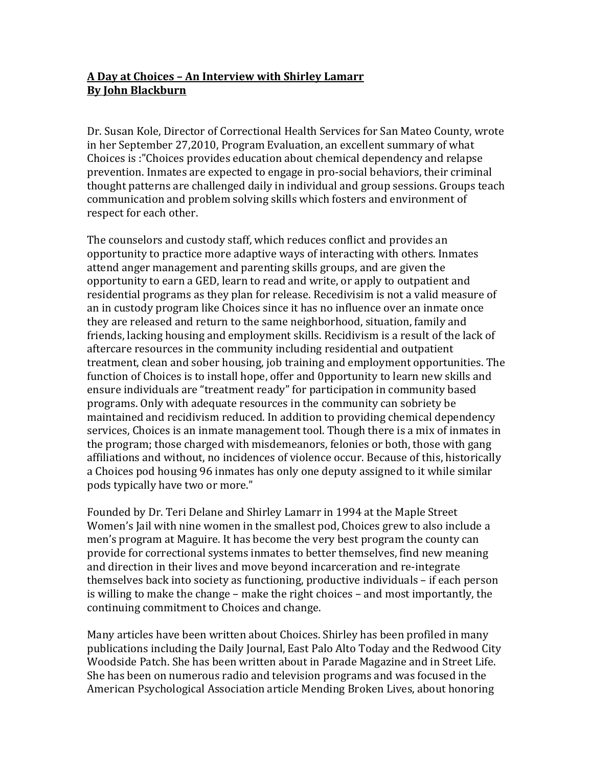## **A Day at Choices – An Interview with Shirley Lamarr By John Blackburn**

Dr. Susan Kole, Director of Correctional Health Services for San Mateo County, wrote in her September 27,2010, Program Evaluation, an excellent summary of what Choices is :"Choices provides education about chemical dependency and relapse prevention. Inmates are expected to engage in pro-social behaviors, their criminal thought patterns are challenged daily in individual and group sessions. Groups teach communication and problem solving skills which fosters and environment of respect for each other.

The counselors and custody staff, which reduces conflict and provides an opportunity to practice more adaptive ways of interacting with others. Inmates attend anger management and parenting skills groups, and are given the opportunity to earn a GED, learn to read and write, or apply to outpatient and residential programs as they plan for release. Recedivisim is not a valid measure of an in custody program like Choices since it has no influence over an inmate once they are released and return to the same neighborhood, situation, family and friends, lacking housing and employment skills. Recidivism is a result of the lack of aftercare resources in the community including residential and outpatient treatment, clean and sober housing, job training and employment opportunities. The function of Choices is to install hope, offer and 0pportunity to learn new skills and ensure individuals are "treatment ready" for participation in community based programs. Only with adequate resources in the community can sobriety be maintained and recidivism reduced. In addition to providing chemical dependency services, Choices is an inmate management tool. Though there is a mix of inmates in the program; those charged with misdemeanors, felonies or both, those with gang affiliations and without, no incidences of violence occur. Because of this, historically a Choices pod housing 96 inmates has only one deputy assigned to it while similar pods typically have two or more."

Founded by Dr. Teri Delane and Shirley Lamarr in 1994 at the Maple Street Women's Jail with nine women in the smallest pod, Choices grew to also include a men's program at Maguire. It has become the very best program the county can provide for correctional systems inmates to better themselves, find new meaning and direction in their lives and move beyond incarceration and re-integrate themselves back into society as functioning, productive individuals – if each person is willing to make the change – make the right choices – and most importantly, the continuing commitment to Choices and change.

Many articles have been written about Choices. Shirley has been profiled in many publications including the Daily Journal, East Palo Alto Today and the Redwood City Woodside Patch. She has been written about in Parade Magazine and in Street Life. She has been on numerous radio and television programs and was focused in the American Psychological Association article Mending Broken Lives, about honoring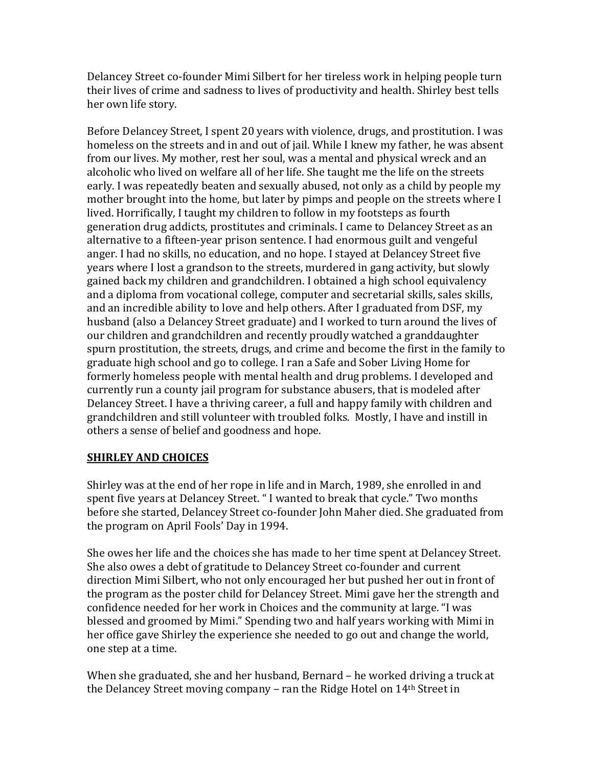Delancey Street co-founder Mimi Silbert for her tireless work in helping people turn their lives of crime and sadness to lives of productivity and health. Shirley best tells her own life story.

Before Delancey Street, I spent 20 years with violence, drugs, and prostitution. I was homeless on the streets and in and out of iail. While I knew my father, he was absent from our lives. My mother, rest her soul, was a mental and physical wreck and an alcoholic who lived on welfare all of her life. She taught me the life on the streets early. I was repeatedly beaten and sexually abused, not only as a child by people my mother brought into the home, but later by pimps and people on the streets where I lived. Horrifically, I taught my children to follow in my footsteps as fourth generation drug addicts, prostitutes and criminals. I came to Delancey Street as an alternative to a fifteen-year prison sentence. I had enormous guilt and vengeful anger. I had no skills, no education, and no hope. I stayed at Delancey Street five years where I lost a grandson to the streets, murdered in gang activity, but slowly gained back my children and grandchildren. I obtained a high school equivalency and a diploma from vocational college, computer and secretarial skills, sales skills, and an incredible ability to love and help others. After I graduated from DSF, my husband (also a Delancey Street graduate) and I worked to turn around the lives of our children and grandchildren and recently proudly watched a granddaughter spurn prostitution, the streets, drugs, and crime and become the first in the family to graduate high school and go to college. I ran a Safe and Sober Living Home for formerly homeless people with mental health and drug problems. I developed and currently run a county jail program for substance abusers, that is modeled after Delancey Street. I have a thriving career, a full and happy family with children and grandchildren and still volunteer with troubled folks. Mostly, I have and instill in others a sense of belief and goodness and hope.

## **SHIRLEY AND CHOICES**

Shirley was at the end of her rope in life and in March, 1989, she enrolled in and spent five years at Delancey Street. " I wanted to break that cycle." Two months before she started, Delancey Street co-founder John Maher died. She graduated from the program on April Fools' Day in 1994.

She owes her life and the choices she has made to her time spent at Delancey Street. She also owes a debt of gratitude to Delancey Street co-founder and current direction Mimi Silbert, who not only encouraged her but pushed her out in front of the program as the poster child for Delancey Street. Mimi gave her the strength and confidence needed for her work in Choices and the community at large. "I was blessed and groomed by Mimi." Spending two and half years working with Mimi in her office gave Shirley the experience she needed to go out and change the world, one step at a time.

When she graduated, she and her husband, Bernard – he worked driving a truck at the Delancey Street moving company – ran the Ridge Hotel on  $14<sup>th</sup>$  Street in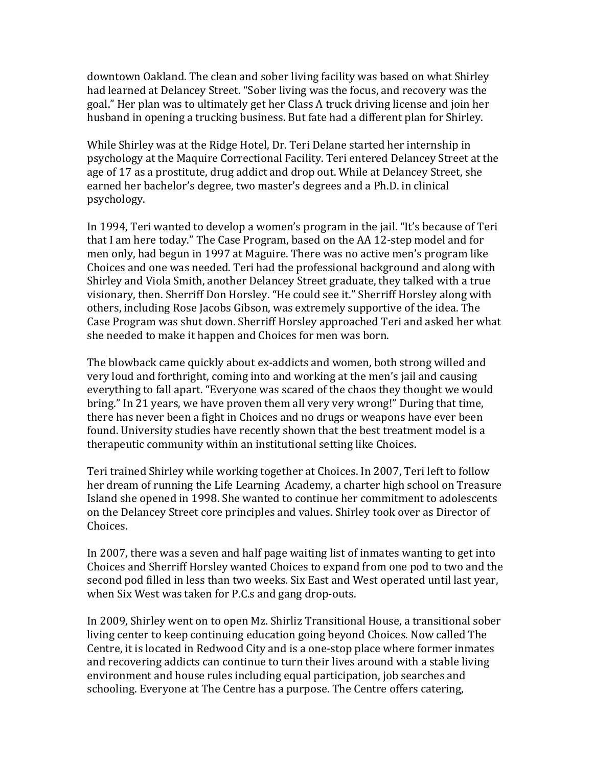downtown Oakland. The clean and sober living facility was based on what Shirley had learned at Delancey Street. "Sober living was the focus, and recovery was the goal." Her plan was to ultimately get her Class A truck driving license and join her husband in opening a trucking business. But fate had a different plan for Shirley.

While Shirley was at the Ridge Hotel, Dr. Teri Delane started her internship in psychology at the Maquire Correctional Facility. Teri entered Delancey Street at the age of 17 as a prostitute, drug addict and drop out. While at Delancey Street, she earned her bachelor's degree, two master's degrees and a Ph.D. in clinical psychology. 

In 1994, Teri wanted to develop a women's program in the jail. "It's because of Teri that I am here today." The Case Program, based on the AA 12-step model and for men only, had begun in 1997 at Maguire. There was no active men's program like Choices and one was needed. Teri had the professional background and along with Shirley and Viola Smith, another Delancey Street graduate, they talked with a true visionary, then. Sherriff Don Horsley. "He could see it." Sherriff Horsley along with others, including Rose Jacobs Gibson, was extremely supportive of the idea. The Case Program was shut down. Sherriff Horsley approached Teri and asked her what she needed to make it happen and Choices for men was born.

The blowback came quickly about ex-addicts and women, both strong willed and very loud and forthright, coming into and working at the men's jail and causing everything to fall apart. "Everyone was scared of the chaos they thought we would bring." In 21 years, we have proven them all very very wrong!" During that time, there has never been a fight in Choices and no drugs or weapons have ever been found. University studies have recently shown that the best treatment model is a therapeutic community within an institutional setting like Choices.

Teri trained Shirley while working together at Choices. In 2007, Teri left to follow her dream of running the Life Learning Academy, a charter high school on Treasure Island she opened in 1998. She wanted to continue her commitment to adolescents on the Delancey Street core principles and values. Shirley took over as Director of Choices. 

In 2007, there was a seven and half page waiting list of inmates wanting to get into Choices and Sherriff Horsley wanted Choices to expand from one pod to two and the second pod filled in less than two weeks. Six East and West operated until last year, when Six West was taken for P.C.s and gang drop-outs.

In 2009, Shirley went on to open Mz. Shirliz Transitional House, a transitional sober living center to keep continuing education going beyond Choices. Now called The Centre, it is located in Redwood City and is a one-stop place where former inmates and recovering addicts can continue to turn their lives around with a stable living environment and house rules including equal participation, job searches and schooling. Everyone at The Centre has a purpose. The Centre offers catering,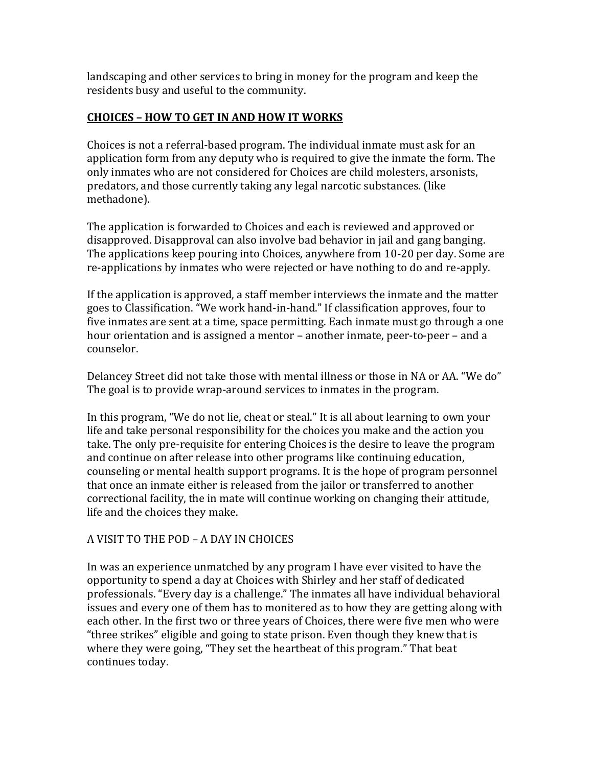landscaping and other services to bring in money for the program and keep the residents busy and useful to the community.

## **CHOICES – HOW TO GET IN AND HOW IT WORKS**

Choices is not a referral-based program. The individual inmate must ask for an application form from any deputy who is required to give the inmate the form. The only inmates who are not considered for Choices are child molesters, arsonists, predators, and those currently taking any legal narcotic substances. (like methadone). 

The application is forwarded to Choices and each is reviewed and approved or disapproved. Disapproval can also involve bad behavior in jail and gang banging. The applications keep pouring into Choices, anywhere from 10-20 per day. Some are re-applications by inmates who were rejected or have nothing to do and re-apply.

If the application is approved, a staff member interviews the inmate and the matter goes to Classification. "We work hand-in-hand." If classification approves, four to five inmates are sent at a time, space permitting. Each inmate must go through a one hour orientation and is assigned a mentor – another inmate, peer-to-peer – and a counselor. 

Delancey Street did not take those with mental illness or those in NA or AA. "We do" The goal is to provide wrap-around services to inmates in the program.

In this program, "We do not lie, cheat or steal." It is all about learning to own your life and take personal responsibility for the choices you make and the action you take. The only pre-requisite for entering Choices is the desire to leave the program and continue on after release into other programs like continuing education, counseling or mental health support programs. It is the hope of program personnel that once an inmate either is released from the *iailor* or transferred to another correctional facility, the in mate will continue working on changing their attitude, life and the choices they make.

## A VISIT TO THE POD – A DAY IN CHOICES

In was an experience unmatched by any program I have ever visited to have the opportunity to spend a day at Choices with Shirley and her staff of dedicated professionals. "Every day is a challenge." The inmates all have individual behavioral issues and every one of them has to monitered as to how they are getting along with each other. In the first two or three years of Choices, there were five men who were "three strikes" eligible and going to state prison. Even though they knew that is where they were going, "They set the heartbeat of this program." That beat continues today.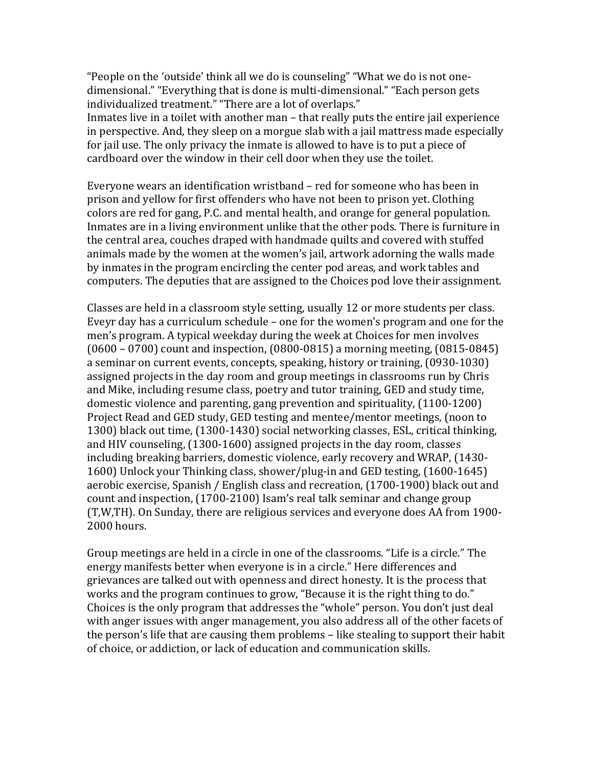"People on the 'outside' think all we do is counseling" "What we do is not onedimensional." "Everything that is done is multi-dimensional." "Each person gets individualized treatment." "There are a lot of overlaps."

Inmates live in a toilet with another man  $-$  that really puts the entire jail experience in perspective. And, they sleep on a morgue slab with a jail mattress made especially for jail use. The only privacy the inmate is allowed to have is to put a piece of cardboard over the window in their cell door when they use the toilet.

Everyone wears an identification wristband – red for someone who has been in prison and yellow for first offenders who have not been to prison yet. Clothing colors are red for gang, P.C. and mental health, and orange for general population. Inmates are in a living environment unlike that the other pods. There is furniture in the central area, couches draped with handmade quilts and covered with stuffed animals made by the women at the women's jail, artwork adorning the walls made by inmates in the program encircling the center pod areas, and work tables and computers. The deputies that are assigned to the Choices pod love their assignment.

Classes are held in a classroom style setting, usually 12 or more students per class. Eveyr day has a curriculum schedule  $-$  one for the women's program and one for the men's program. A typical weekday during the week at Choices for men involves  $(0600 - 0700)$  count and inspection,  $(0800 - 0815)$  a morning meeting,  $(0815 - 0845)$ a seminar on current events, concepts, speaking, history or training, (0930-1030) assigned projects in the day room and group meetings in classrooms run by Chris and Mike, including resume class, poetry and tutor training, GED and study time, domestic violence and parenting, gang prevention and spirituality, (1100-1200) Project Read and GED study, GED testing and mentee/mentor meetings, (noon to 1300) black out time, (1300-1430) social networking classes, ESL, critical thinking, and HIV counseling, (1300-1600) assigned projects in the day room, classes including breaking barriers, domestic violence, early recovery and WRAP, (1430-1600) Unlock your Thinking class, shower/plug-in and GED testing, (1600-1645) aerobic exercise, Spanish / English class and recreation,  $(1700-1900)$  black out and count and inspection, (1700-2100) Isam's real talk seminar and change group (T,W,TH). On Sunday, there are religious services and everyone does AA from 1900-2000 hours.

Group meetings are held in a circle in one of the classrooms. "Life is a circle." The energy manifests better when everyone is in a circle." Here differences and grievances are talked out with openness and direct honesty. It is the process that works and the program continues to grow, "Because it is the right thing to do." Choices is the only program that addresses the "whole" person. You don't just deal with anger issues with anger management, you also address all of the other facets of the person's life that are causing them problems – like stealing to support their habit of choice, or addiction, or lack of education and communication skills.